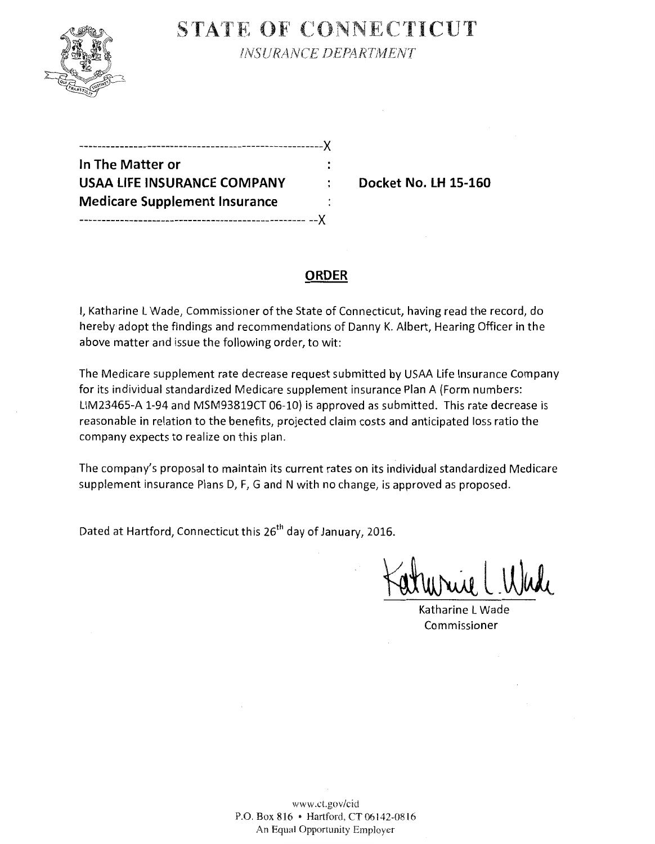

STATE OF CONNECTICUT

*INSURANCE DEPARTMENT* 

| ---------------------------------X   |    |
|--------------------------------------|----|
| In The Matter or                     |    |
| USAA LIFE INSURANCE COMPANY          | ÷. |
| <b>Medicare Supplement Insurance</b> |    |
|                                      |    |

**Docket No. LH 15-160** 

### **ORDER**

I, Katharine L Wade, Commissioner of the State of Connecticut, having read the record, do hereby adopt the findings and recommendations of Danny K. Albert, Hearing Officer in the above matter and issue the following order, to wit:

The Medicare supplement rate decrease request submitted by USAA Life Insurance Company for its individual standardized Medicare supplement insurance Plan A (Form numbers: LIM23465-A 1-94 and MSM93819CT 06-10) is approved as submitted. This rate decrease is reasonable in relation to the benefits, projected claim costs and anticipated loss ratio the company expects to realize on this plan.

The company's proposal to maintain its current rates on its individual standardized Medicare supplement insurance Plans D, F, G and N with no change, is approved as proposed.

Dated at Hartford, Connecticut this 26<sup>th</sup> day of January, 2016.

Katharine L Wade Commissioner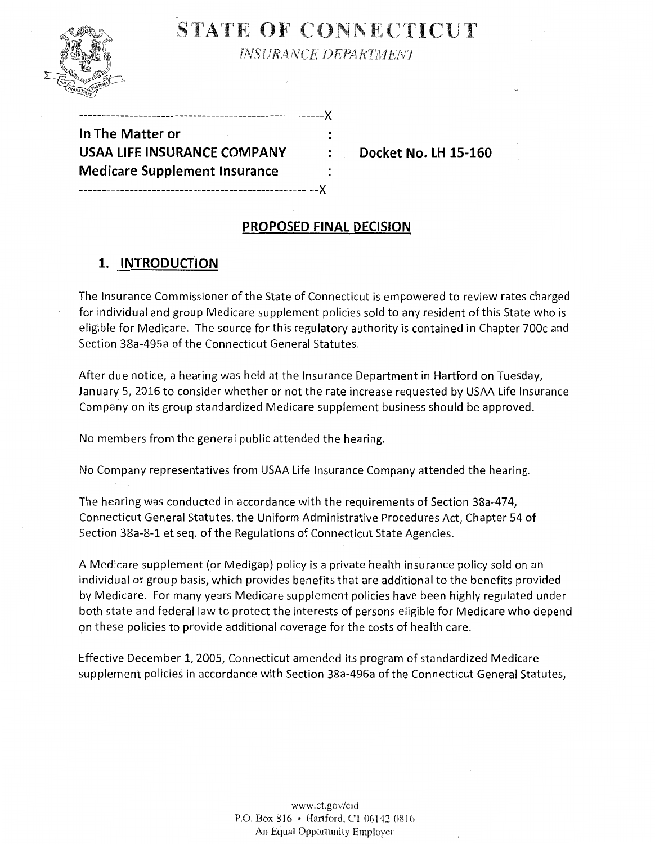

STATE OF CONNECTICUT

**INSURANCE DEPARTMENT** 

| --------------------------------X    |  |
|--------------------------------------|--|
| In The Matter or                     |  |
| <b>USAA LIFE INSURANCE COMPANY</b>   |  |
| <b>Medicare Supplement Insurance</b> |  |
|                                      |  |

**EXAMPLE INSURANCE LIFE 15-160** 

## **PROPOSED FINAL DECISION**

# **1. INTRODUCTION**

The Insurance Commissioner of the State of Connecticut is empowered to review rates charged for individual and group Medicare supplement policies sold to any resident of this State who is eligible for Medicare. The source for this regulatory authority is contained in Chapter 700c and Section 38a-495a of the Connecticut General Statutes.

After due notice, a hearing was held at the Insurance Department in Hartford on Tuesday, January 5, 2016 to consider whether or not the rate increase requested by USAA Life Insurance Company on its group standardized Medicare supplement business should be approved.

No members from the general public attended the hearing.

No Company representatives from USAA Life Insurance Company attended the hearing.

The hearing was conducted in accordance with the requirements of Section 38a-474, Connecticut General Statutes, the Uniform Administrative Procedures Act, Chapter 54 of Section 38a-8-1 et seq. of the Regulations of Connecticut State Agencies.

A Medicare supplement (or Medigap) policy is a private health insurance policy sold on an individual or group basis, which provides benefits that are additional to the benefits provided by Medicare. For many years Medicare supplement policies have been highly regulated under both state and federal law to protect the interests of persons eligible for Medicare who depend on these policies to provide additional coverage for the costs of health care.

Effective December 1, 2005, Connecticut amended its program of standardized Medicare supplement policies in accordance with Section 38a-496a of the Connecticut General Statutes,

> www.ct.gov/cid P.O. Box 816 • Hartford, CT 06142-0816 An Equal Opportunity Employer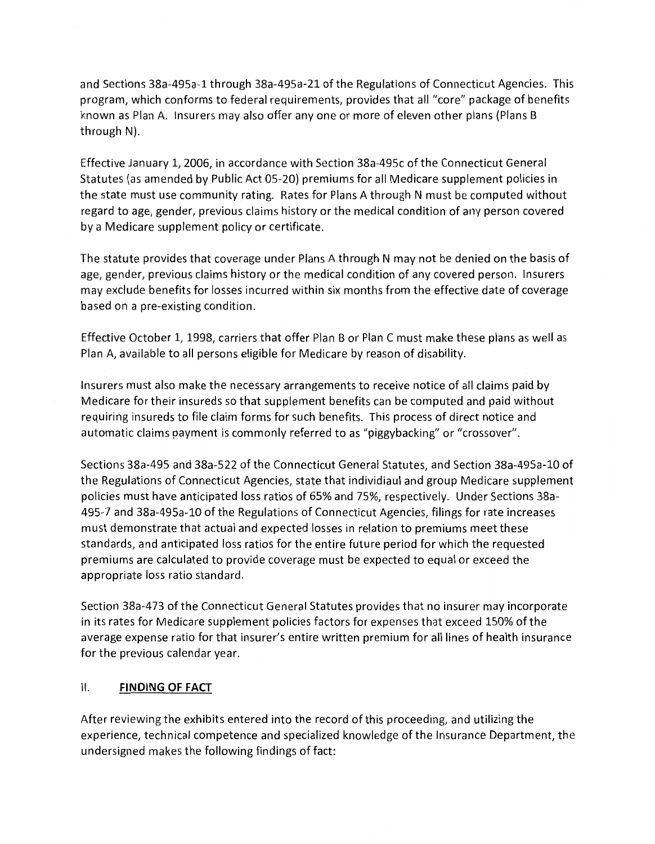and Sections 38a-495a-1 through 38a-495a-21 of the Regulations of Connecticut Agencies. This program, which conforms to federal requirements, provides that all "core" package of benefits known as Plan A. Insurers may also offer any one or more of eleven other plans {Plans B through N).

Effective January 1, 2006, in accordance with Section 38a-495c of the Connecticut General Statutes (as amended by Public Act 05-20) premiums for all Medicare supplement policies in the state must use community rating. Rates for Plans A through N must be computed without regard to age, gender, previous claims history or the medical condition of any person covered by a Medicare supplement policy or certificate.

The statute provides that coverage under Plans A through N may not be denied on the basis of age, gender, previous claims history or the medical condition of any covered person. Insurers may exclude benefits for losses incurred within six months from the effective date of coverage based on a pre-existing condition.

Effective October 1, 1998, carriers that offer Plan B or Plan C must make these plans as well as Plan A, available to all persons eligible for Medicare by reason of disability.

Insurers must also make the necessary arrangements to receive notice of all claims paid by Medicare for their insureds so that supplement benefits can be computed and paid without requiring insureds to file claim forms for such benefits. This process of direct notice and automatic claims payment is commonly referred to as "piggybacking" or "crossover".

Sections 38a-495 and 38a-522 of the Connecticut General Statutes, and Section 38a-495a-10 of the Regulations of Connecticut Agencies, state that individiaul and group Medicare supplement policies must have anticipated loss ratios of 65% and 75%, respectively. Under Sections 38a-495-7 and 38a-495a-10 of the Regulations of Connecticut Agencies, filings for rate increases must demonstrate that actual and expected losses in relation to premiums meet these standards, and anticipated loss ratios for the entire future period for which the requested premiums are calculated to provide coverage must be expected to equal or exceed the appropriate loss ratio standard.

Section 38a-473 of the Connecticut General Statutes provides that no insurer may incorporate in its rates for Medicare supplement policies factors for expenses that exceed 150% of the average expense ratio for that insurer's entire written premium for all lines of health insurance for the previous calendar year.

#### II. **FINDING OF FACT**

After reviewing the exhibits entered into the record of this proceeding, and utilizing the experience, technical competence and specialized knowledge of the Insurance Department, the undersigned makes the following findings of fact: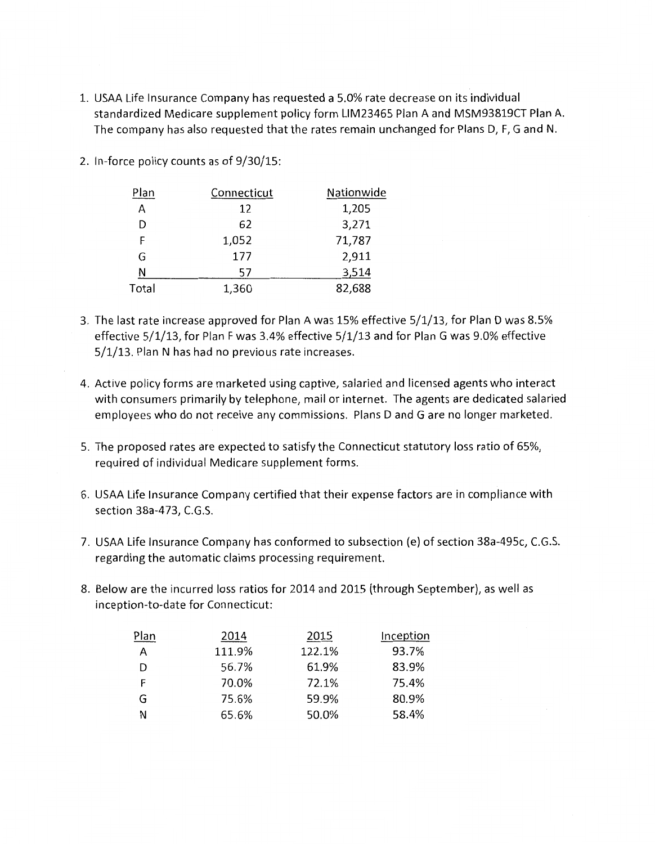- 1. USAA Life Insurance Company has requested a 5.0% rate decrease on its individual standardized Medicare supplement policy form LIM23465 Plan A and MSM93819CT Plan A. The company has also requested that the rates remain unchanged for Plans D, F, G and N.
- 2. In-force policy counts as of 9/30/15:

| Plan  | Connecticut | Nationwide |
|-------|-------------|------------|
| Α     | 12          | 1,205      |
| D     | 62          | 3,271      |
| F     | 1,052       | 71,787     |
| G     | 177         | 2,911      |
| N     | 57          | 3,514      |
| Total | 1,360       | 82,688     |

- 3. The last rate increase approved for Plan A was 15% effective 5/1/13, for Plan D was 8.5% effective 5/1/13, for Plan F was 3.4% effective 5/1/13 and for Plan G was 9.0% effective 5/1/13. Plan N has had no previous rate increases.
- 4. Active policy forms are marketed using captive, salaried and licensed agents who interact with consumers primarily by telephone, mail or internet. The agents are dedicated salaried employees who do not receive any commissions. Plans D and G are no longer marketed.
- 5. The proposed rates are expected to satisfy the Connecticut statutory loss ratio of 65%, required of individual Medicare supplement forms.
- 6. USAA Life Insurance Company certified that their expense factors are in compliance with section 38a-473, C.G.S.
- 7. USAA Life Insurance Company has conformed to subsection (e) of section 38a-495c, C.G.S. regarding the automatic claims processing requirement.
- 8. Below are the incurred loss ratios for 2014 and 2015 (through September), as well as inception-to-date for Connecticut:

| Plan | 2014   | 2015   | Inception |
|------|--------|--------|-----------|
| А    | 111.9% | 122.1% | 93.7%     |
| D    | 56.7%  | 61.9%  | 83.9%     |
| F    | 70.0%  | 72.1%  | 75.4%     |
| G    | 75.6%  | 59.9%  | 80.9%     |
| N    | 65.6%  | 50.0%  | 58.4%     |